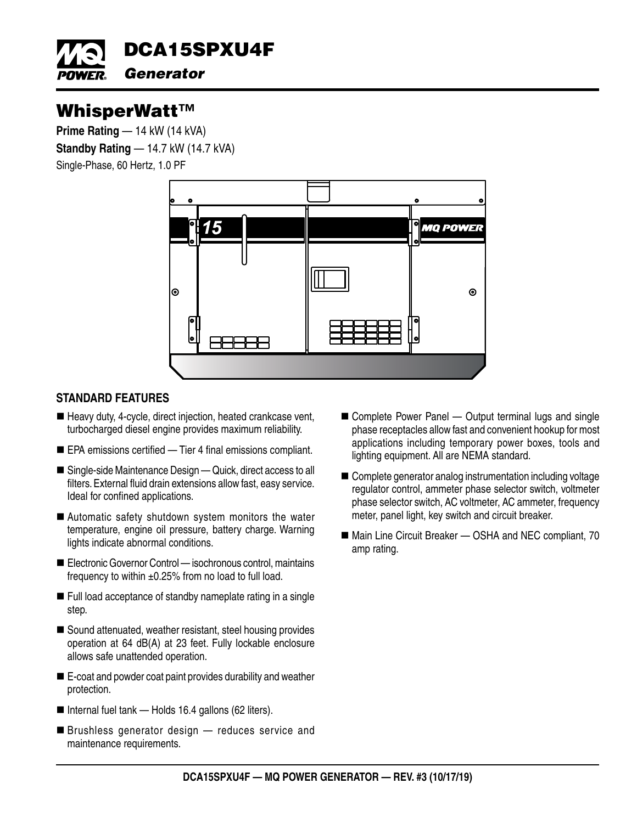

# WhisperWatt™

**Prime Rating — 14 kW (14 kVA) Standby Rating** — 14.7 kW (14.7 kVA) Single-Phase, 60 Hertz, 1.0 PF



## **STANDARD FEATURES**

- Heavy duty, 4-cycle, direct injection, heated crankcase vent, turbocharged diesel engine provides maximum reliability.
- EPA emissions certified Tier 4 final emissions compliant.
- Single-side Maintenance Design Quick, direct access to all filters. External fluid drain extensions allow fast, easy service. Ideal for confined applications.
- Automatic safety shutdown system monitors the water temperature, engine oil pressure, battery charge. Warning lights indicate abnormal conditions.
- Electronic Governor Control isochronous control, maintains frequency to within  $\pm 0.25\%$  from no load to full load.
- Full load acceptance of standby nameplate rating in a single step.
- Sound attenuated, weather resistant, steel housing provides operation at 64 dB(A) at 23 feet. Fully lockable enclosure allows safe unattended operation.
- E-coat and powder coat paint provides durability and weather protection.
- Internal fuel tank Holds 16.4 gallons (62 liters).
- Brushless generator design reduces service and maintenance requirements.
- Complete Power Panel Output terminal lugs and single phase receptacles allow fast and convenient hookup for most applications including temporary power boxes, tools and lighting equipment. All are NEMA standard.
- Complete generator analog instrumentation including voltage regulator control, ammeter phase selector switch, voltmeter phase selector switch, AC voltmeter, AC ammeter, frequency meter, panel light, key switch and circuit breaker.
- Main Line Circuit Breaker OSHA and NEC compliant, 70 amp rating.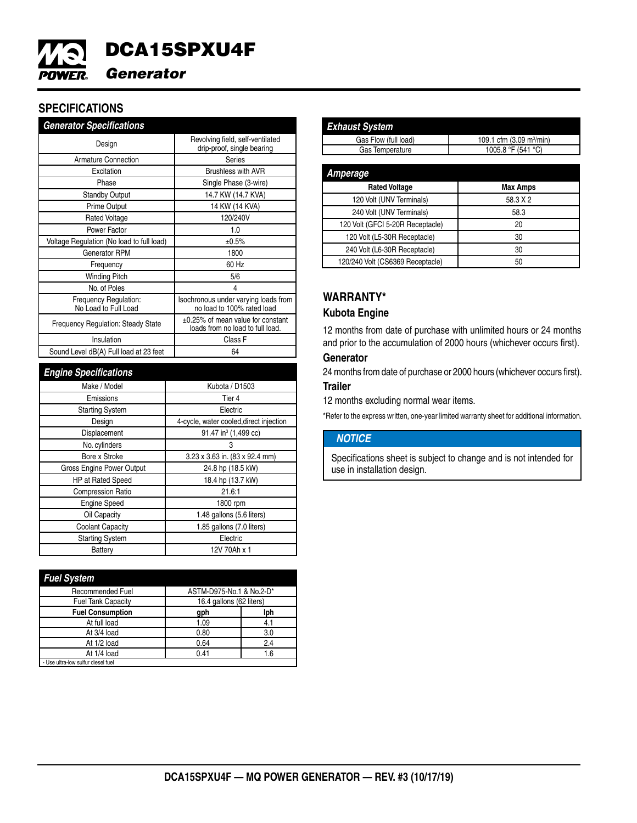

# **SPECIFICATIONS**

| <b>Generator Specifications</b>               |                                                                       |  |
|-----------------------------------------------|-----------------------------------------------------------------------|--|
| Design                                        | Revolving field, self-ventilated<br>drip-proof, single bearing        |  |
| <b>Armature Connection</b>                    | Series                                                                |  |
| Excitation                                    | <b>Brushless with AVR</b>                                             |  |
| Phase                                         | Single Phase (3-wire)                                                 |  |
| <b>Standby Output</b>                         | 14.7 KW (14.7 KVA)                                                    |  |
| <b>Prime Output</b>                           | 14 KW (14 KVA)                                                        |  |
| <b>Rated Voltage</b>                          | 120/240V                                                              |  |
| Power Factor                                  | 1.0                                                                   |  |
| Voltage Regulation (No load to full load)     | ±0.5%                                                                 |  |
| Generator RPM                                 | 1800                                                                  |  |
| Frequency                                     | 60 Hz                                                                 |  |
| <b>Winding Pitch</b>                          | 5/6                                                                   |  |
| No. of Poles                                  | 4                                                                     |  |
| Frequency Regulation:<br>No Load to Full Load | Isochronous under varying loads from<br>no load to 100% rated load    |  |
| <b>Frequency Regulation: Steady State</b>     | ±0.25% of mean value for constant<br>loads from no load to full load. |  |
| Insulation                                    | Class F                                                               |  |
| Sound Level dB(A) Full load at 23 feet        | 64                                                                    |  |

| <b>Engine Specifications</b> |                                         |  |
|------------------------------|-----------------------------------------|--|
| Make / Model                 | Kubota / D1503                          |  |
| Emissions                    | Tier 4                                  |  |
| <b>Starting System</b>       | Electric                                |  |
| Design                       | 4-cycle, water cooled, direct injection |  |
| Displacement                 | 91.47 in <sup>3</sup> (1,499 cc)        |  |
| No. cylinders                | 3                                       |  |
| Bore x Stroke                | 3.23 x 3.63 in. (83 x 92.4 mm)          |  |
| Gross Engine Power Output    | 24.8 hp (18.5 kW)                       |  |
| <b>HP</b> at Rated Speed     | 18.4 hp (13.7 kW)                       |  |
| <b>Compression Ratio</b>     | 21.6:1                                  |  |
| <b>Engine Speed</b>          | 1800 rpm                                |  |
| Oil Capacity                 | 1.48 gallons (5.6 liters)               |  |
| <b>Coolant Capacity</b>      | 1.85 gallons (7.0 liters)               |  |
| <b>Starting System</b>       | Electric                                |  |
| Battery                      | 12V 70Ah x 1                            |  |

| <b>Fuel System</b>                 |                          |     |
|------------------------------------|--------------------------|-----|
| <b>Recommended Fuel</b>            | ASTM-D975-No.1 & No.2-D* |     |
| <b>Fuel Tank Capacity</b>          | 16.4 gallons (62 liters) |     |
| <b>Fuel Consumption</b>            | gph                      | lph |
| At full load                       | 1.09                     | 4.1 |
| At 3/4 load                        | 0.80                     | 3.0 |
| At 1/2 load                        | 0.64                     | 2.4 |
| At 1/4 load                        | 0.41                     | 1.6 |
| - Use ultra-low sulfur diesel fuel |                          |     |

| <b>Exhaust System</b>            |                                      |  |
|----------------------------------|--------------------------------------|--|
| Gas Flow (full load)             | 109.1 cfm (3.09 m <sup>3</sup> /min) |  |
| Gas Temperature                  | 1005.8 °F (541 °C)                   |  |
|                                  |                                      |  |
| Amperage                         |                                      |  |
| <b>Rated Voltage</b>             | <b>Max Amps</b>                      |  |
| 120 Volt (UNV Terminals)         | 58.3 X 2                             |  |
| 240 Volt (UNV Terminals)         | 58.3                                 |  |
| 120 Volt (GFCI 5-20R Receptacle) | 20                                   |  |
| 120 Volt (L5-30R Receptacle)     | 30                                   |  |
| 240 Volt (L6-30R Receptacle)     | 30                                   |  |
| 120/240 Volt (CS6369 Receptacle) | 50                                   |  |

## **WARRANTY\***

#### **Kubota Engine**

12 months from date of purchase with unlimited hours or 24 months and prior to the accumulation of 2000 hours (whichever occurs first).

#### **Generator**

24 months from date of purchase or 2000 hours (whichever occurs first).

#### **Trailer**

12 months excluding normal wear items.

\*Refer to the express written, one-year limited warranty sheet for additional information.

#### *NOTICE*

Specifications sheet is subject to change and is not intended for use in installation design.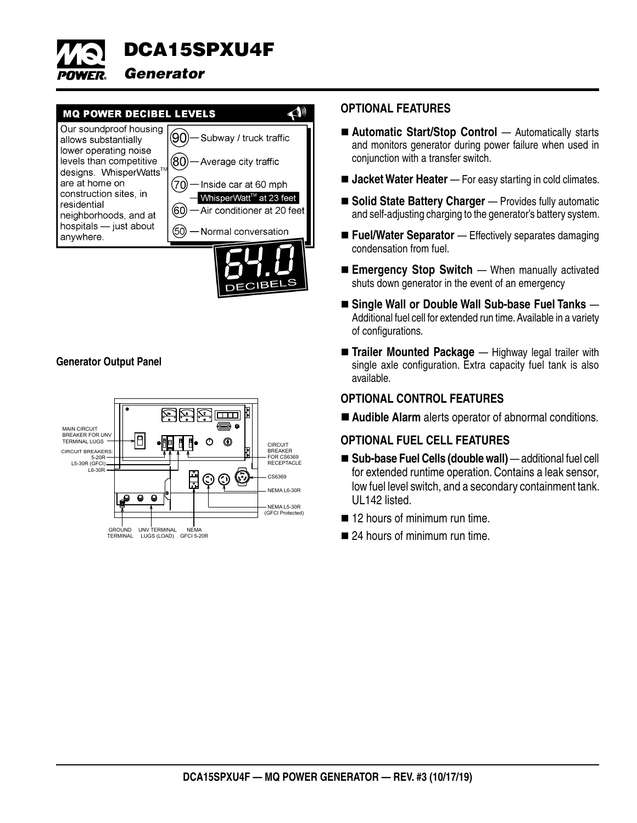



#### **Generator Output Panel**



#### **OPTIONAL FEATURES**

- Automatic Start/Stop Control Automatically starts and monitors generator during power failure when used in conjunction with a transfer switch.
- **Jacket Water Heater** For easy starting in cold climates.
- Solid State Battery Charger Provides fully automatic and self-adjusting charging to the generator's battery system.
- Fuel/Water Separator Effectively separates damaging condensation from fuel.
- **Emergency Stop Switch** When manually activated shuts down generator in the event of an emergency
- Single Wall or Double Wall Sub-base Fuel Tanks Additional fuel cell for extended run time. Available in a variety of configurations.
- **Trailer Mounted Package** Highway legal trailer with single axle configuration. Extra capacity fuel tank is also available.

#### **OPTIONAL CONTROL FEATURES**

**Audible Alarm** alerts operator of abnormal conditions.

#### **OPTIONAL FUEL CELL FEATURES**

- Sub-base Fuel Cells (double wall) additional fuel cell for extended runtime operation. Contains a leak sensor, low fuel level switch, and a secondary containment tank. UL142 listed.
- 12 hours of minimum run time.
- 24 hours of minimum run time.